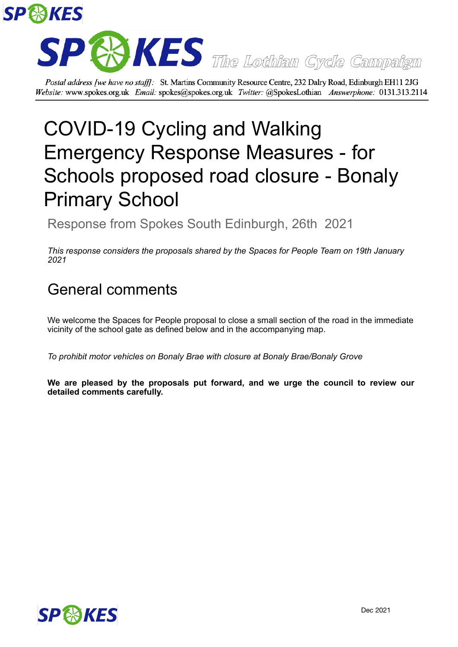



Postal address [we have no staff]: St. Martins Community Resource Centre, 232 Dalry Road, Edinburgh EH11 2JG Website: www.spokes.org.uk Email: spokes@spokes.org.uk Twitter: @SpokesLothian Answerphone: 0131.313.2114

## COVID-19 Cycling and Walking Emergency Response Measures - for Schools proposed road closure - Bonaly Primary School

Response from Spokes South Edinburgh, 26th 2021

*This response considers the proposals shared by the Spaces for People Team on 19th January 2021*

## General comments

We welcome the Spaces for People proposal to close a small section of the road in the immediate vicinity of the school gate as defined below and in the accompanying map.

*To prohibit motor vehicles on Bonaly Brae with closure at Bonaly Brae/Bonaly Grove*

**We are pleased by the proposals put forward, and we urge the council to review our detailed comments carefully.**